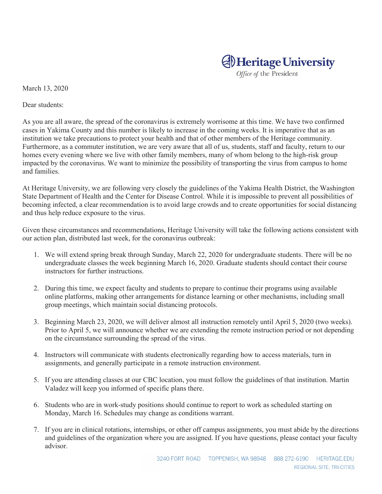## **Al** Heritage University

Office of the President

March 13, 2020

Dear students:

As you are all aware, the spread of the coronavirus is extremely worrisome at this time. We have two confirmed cases in Yakima County and this number is likely to increase in the coming weeks. It is imperative that as an institution we take precautions to protect your health and that of other members of the Heritage community. Furthermore, as a commuter institution, we are very aware that all of us, students, staff and faculty, return to our homes every evening where we live with other family members, many of whom belong to the high-risk group impacted by the coronavirus. We want to minimize the possibility of transporting the virus from campus to home and families.

At Heritage University, we are following very closely the guidelines of the Yakima Health District, the Washington State Department of Health and the Center for Disease Control. While it is impossible to prevent all possibilities of becoming infected, a clear recommendation is to avoid large crowds and to create opportunities for social distancing and thus help reduce exposure to the virus.

Given these circumstances and recommendations, Heritage University will take the following actions consistent with our action plan, distributed last week, for the coronavirus outbreak:

- 1. We will extend spring break through Sunday, March 22, 2020 for undergraduate students. There will be no undergraduate classes the week beginning March 16, 2020. Graduate students should contact their course instructors for further instructions.
- 2. During this time, we expect faculty and students to prepare to continue their programs using available online platforms, making other arrangements for distance learning or other mechanisms, including small group meetings, which maintain social distancing protocols.
- 3. Beginning March 23, 2020, we will deliver almost all instruction remotely until April 5, 2020 (two weeks). Prior to April 5, we will announce whether we are extending the remote instruction period or not depending on the circumstance surrounding the spread of the virus.
- 4. Instructors will communicate with students electronically regarding how to access materials, turn in assignments, and generally participate in a remote instruction environment.
- 5. If you are attending classes at our CBC location, you must follow the guidelines of that institution. Martin Valadez will keep you informed of specific plans there.
- 6. Students who are in work-study positions should continue to report to work as scheduled starting on Monday, March 16. Schedules may change as conditions warrant.
- 7. If you are in clinical rotations, internships, or other off campus assignments, you must abide by the directions and guidelines of the organization where you are assigned. If you have questions, please contact your faculty advisor.